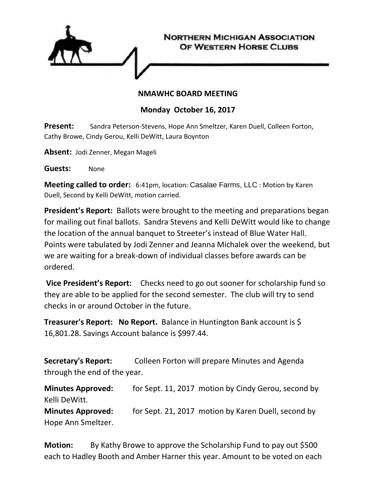

## **NMAWHC BOARD MEETING**

## **Monday October 16, 2017**

**Present:** Sandra Peterson-Stevens, Hope Ann Smeltzer, Karen Duell, Colleen Forton, Cathy Browe, Cindy Gerou, Kelli DeWitt, Laura Boynton

**Absent:** Jodi Zenner, Megan Mageli

**Guests:** None

**Meeting called to order:** 6:41pm, location: Casalae Farms, LLC : Motion by Karen Duell, Second by Kelli DeWitt, motion carried.

**President's Report:** Ballots were brought to the meeting and preparations began for mailing out final ballots. Sandra Stevens and Kelli DeWitt would like to change the location of the annual banquet to Streeter's instead of Blue Water Hall. Points were tabulated by Jodi Zenner and Jeanna Michalek over the weekend, but we are waiting for a break-down of individual classes before awards can be ordered.

**Vice President's Report:** Checks need to go out sooner for scholarship fund so they are able to be applied for the second semester. The club will try to send checks in or around October in the future.

**Treasurer's Report: No Report.** Balance in Huntington Bank account is \$ 16,801.28. Savings Account balance is \$997.44.

**Secretary's Report:** Colleen Forton will prepare Minutes and Agenda through the end of the year.

**Minutes Approved:** for Sept. 11, 2017 motion by Cindy Gerou, second by Kelli DeWitt. **Minutes Approved:** for Sept. 21, 2017 motion by Karen Duell, second by Hope Ann Smeltzer.

**Motion:** By Kathy Browe to approve the Scholarship Fund to pay out \$500 each to Hadley Booth and Amber Harner this year. Amount to be voted on each